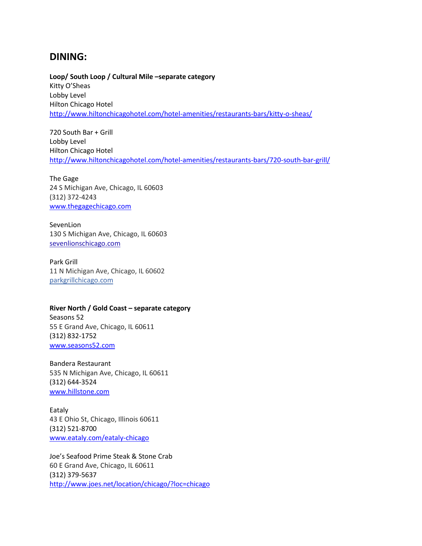### **DINING:**

**Loop/ South Loop / Cultural Mile –separate category** Kitty O'Sheas Lobby Level Hilton Chicago Hotel

<http://www.hiltonchicagohotel.com/hotel-amenities/restaurants-bars/kitty-o-sheas/>

720 South Bar + Grill Lobby Level Hilton Chicago Hotel <http://www.hiltonchicagohotel.com/hotel-amenities/restaurants-bars/720-south-bar-grill/>

The Gage 24 S Michigan Ave, Chicago, IL 60603 (312) 372-4243 [www.thegagechicago.com](http://www.thegagechicago.com/)

SevenLion 130 S Michigan Ave, Chicago, IL 60603 [sevenlionschicago.com](https://www.google.com/url?sa=t&rct=j&q=&esrc=s&source=web&cd=17&cad=rja&uact=8&ved=0CJUBEIQHMBBqFQoTCJ2QqcSy-ccCFY2ygAodsUgMZw&url=http%3A%2F%2Fsevenlionschicago.com%2Fwww%2Fseven-lions-menus%2F&usg=AFQjCNE81fB1n8LutVvweYwOWgNt-YPNBw&sig2=Lf20mcYUF8_5YdRRxdkEgQ&bvm=bv.102537793,d.eXY)

Park Grill 11 N Michigan Ave, Chicago, IL 60602 [parkgrillchicago.com](http://www.yelp.com/biz_redir?url=http%3A%2F%2Fwww.parkgrillchicago.com%2F&src_bizid=A1JZZ8F5hg6F0cGsxIXipg&cachebuster=1442332433&s=713912d7e9100e21112a4f3c95978f42d59a56af2109b9cdaca08b2b06010526)

#### **River North / Gold Coast – separate category**

Seasons 52 55 E Grand Ave, Chicago, IL 60611 (312) 832-1752 [www.seasons52.com](http://www.seasons52.com/)

Bandera Restaurant 535 N Michigan Ave, Chicago, IL 60611 (312) 644-3524 [www.hillstone.com](http://www.hillstone.com/)

Eataly 43 E Ohio St, Chicago, Illinois 60611 (312) 521-8700 [www.eataly.com/eataly-chicago](http://www.eataly.com/eataly-chicago)

Joe's Seafood Prime Steak & Stone Crab 60 E Grand Ave, Chicago, IL 60611 (312) 379-5637 <http://www.joes.net/location/chicago/?loc=chicago>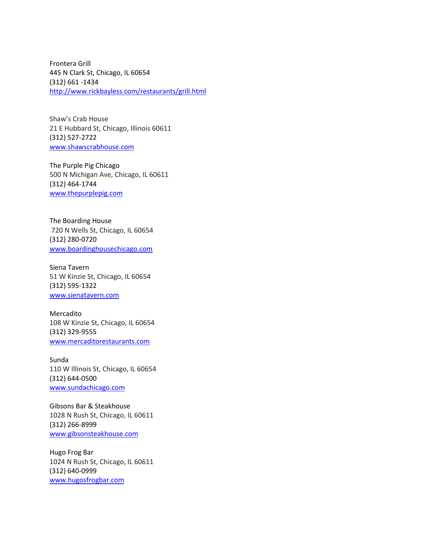Frontera Grill 445 N Clark St, Chicago, IL 60654 (312) 661 -1434 <http://www.rickbayless.com/restaurants/grill.html>

Shaw's Crab House 21 E Hubbard St, Chicago, Illinois 60611 (312) 527-2722 [www.shawscrabhouse.com](http://www.shawscrabhouse.com/)

The Purple Pig Chicago 500 N Michigan Ave, Chicago, IL 60611 (312) 464-1744 [www.thepurplepig.com](http://www.thepurplepig.com/)

The Boarding House 720 N Wells St, Chicago, IL 60654 (312) 280-0720 [www.boardinghousechicago.com](http://www.boardinghousechicago.com/)

Siena Tavern 51 W Kinzie St, Chicago, IL 60654 (312) 595-1322 [www.sienatavern.com](http://www.sienatavern.com/)

Mercadito 108 W Kinzie St, Chicago, IL 60654 (312) 329-9555 [www.mercaditorestaurants.com](http://www.mercaditorestaurants.com/)

Sunda 110 W Illinois St, Chicago, IL 60654 (312) 644-0500 [www.sundachicago.com](http://www.sundachicago.com/)

Gibsons Bar & Steakhouse 1028 N Rush St, Chicago, IL 60611 (312) 266-8999 [www.gibsonsteakhouse.com](http://www.gibsonsteakhouse.com/)

Hugo Frog Bar 1024 N Rush St, Chicago, IL 60611 (312) 640-0999 [www.hugosfrogbar.com](http://www.hugosfrogbar.com/)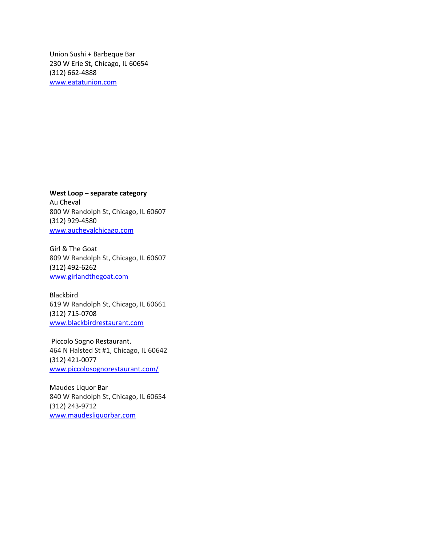Union Sushi + Barbeque Bar 230 W Erie St, Chicago, IL 60654 (312) 662-4888 [www.eatatunion.com](http://www.eatatunion.com/)

**West Loop – separate category** Au Cheval 800 W Randolph St, Chicago, IL 60607 (312) 929-4580 [www.auchevalchicago.com](http://www.auchevalchicago.com/)

Girl & The Goat 809 W Randolph St, Chicago, IL 60607 (312) 492-6262 [www.girlandthegoat.com](http://www.girlandthegoat.com/)

Blackbird 619 W Randolph St, Chicago, IL 60661 (312) 715-0708 [www.blackbirdrestaurant.com](http://www.blackbirdrestaurant.com/)

Piccolo Sogno Restaurant. 464 N Halsted St #1, Chicago, IL 60642 (312) 421-0077 [www.piccolosognorestaurant.com/](http://www.piccolosognorestaurant.com/)

Maudes Liquor Bar 840 W Randolph St, Chicago, IL 60654 (312) 243-9712 [www.maudesliquorbar.com](http://www.maudesliquorbar.com/)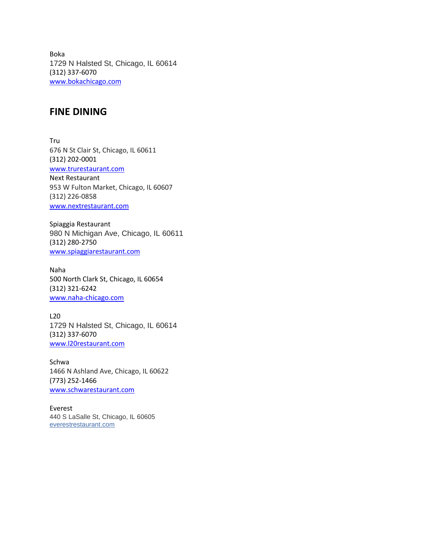Boka 1729 N Halsted St, Chicago, IL 60614 (312) 337-6070 [www.bokachicago.com](http://www.bokachicago.com/)

#### **FINE DINING**

Tru 676 N St Clair St, Chicago, IL 60611 (312) 202-0001 [www.trurestaurant.com](http://www.trurestaurant.com/) Next Restaurant 953 W Fulton Market, Chicago, IL 60607 (312) 226-0858 [www.nextrestaurant.com](http://www.nextrestaurant.com/)

Spiaggia Restaurant 980 N Michigan Ave, Chicago, IL 60611 (312) 280-2750 [www.spiaggiarestaurant.com](http://www.spiaggiarestaurant.com/)

Naha 500 North Clark St, Chicago, IL 60654 (312) 321-6242 [www.naha-chicago.com](http://www.naha-chicago.com/)

L20 1729 N Halsted St, Chicago, IL 60614 (312) 337-6070 [www.l20restaurant.com](http://www.l20restaurant.com/)

Schwa 1466 N Ashland Ave, Chicago, IL 60622 (773) 252-1466 [www.schwarestaurant.com](http://www.schwarestaurant.com/)

Everest 440 S LaSalle St, Chicago, IL 60605 [everestrestaurant.com](http://www.yelp.com/biz_redir?url=http%3A%2F%2Fwww.everestrestaurant.com%2F&src_bizid=xoS0iA36biZSXYE7y57D_g&cachebuster=1442340976&s=0356cc60e9d83900190167f64dca664d0493f37567c02fdc748ba9e1d30f5c2e)